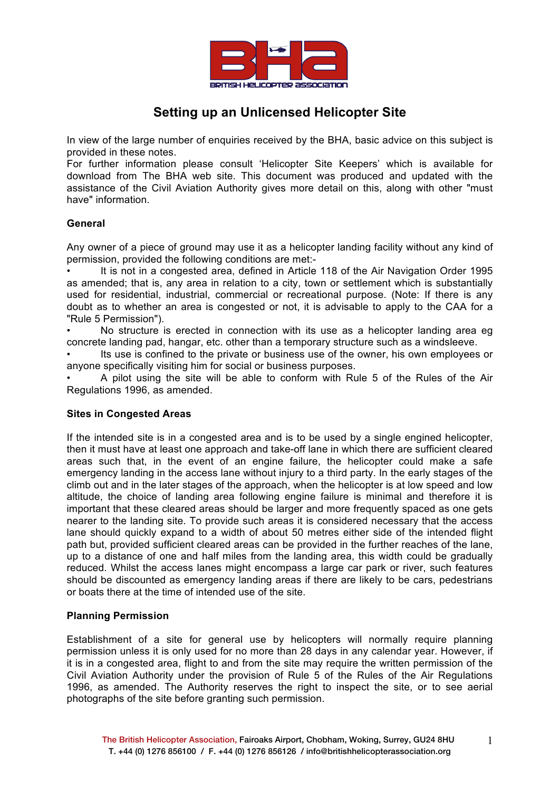

# **Setting up an Unlicensed Helicopter Site**

In view of the large number of enquiries received by the BHA, basic advice on this subject is provided in these notes.

For further information please consult 'Helicopter Site Keepers' which is available for download from The BHA web site. This document was produced and updated with the assistance of the Civil Aviation Authority gives more detail on this, along with other "must have" information.

#### **General**

Any owner of a piece of ground may use it as a helicopter landing facility without any kind of permission, provided the following conditions are met:-

It is not in a congested area, defined in Article 118 of the Air Navigation Order 1995 as amended; that is, any area in relation to a city, town or settlement which is substantially used for residential, industrial, commercial or recreational purpose. (Note: If there is any doubt as to whether an area is congested or not, it is advisable to apply to the CAA for a "Rule 5 Permission").

• No structure is erected in connection with its use as a helicopter landing area eg concrete landing pad, hangar, etc. other than a temporary structure such as a windsleeve.

Its use is confined to the private or business use of the owner, his own emplovees or anyone specifically visiting him for social or business purposes.

• A pilot using the site will be able to conform with Rule 5 of the Rules of the Air Regulations 1996, as amended.

#### **Sites in Congested Areas**

If the intended site is in a congested area and is to be used by a single engined helicopter, then it must have at least one approach and take-off lane in which there are sufficient cleared areas such that, in the event of an engine failure, the helicopter could make a safe emergency landing in the access lane without injury to a third party. In the early stages of the climb out and in the later stages of the approach, when the helicopter is at low speed and low altitude, the choice of landing area following engine failure is minimal and therefore it is important that these cleared areas should be larger and more frequently spaced as one gets nearer to the landing site. To provide such areas it is considered necessary that the access lane should quickly expand to a width of about 50 metres either side of the intended flight path but, provided sufficient cleared areas can be provided in the further reaches of the lane, up to a distance of one and half miles from the landing area, this width could be gradually reduced. Whilst the access lanes might encompass a large car park or river, such features should be discounted as emergency landing areas if there are likely to be cars, pedestrians or boats there at the time of intended use of the site.

#### **Planning Permission**

Establishment of a site for general use by helicopters will normally require planning permission unless it is only used for no more than 28 days in any calendar year. However, if it is in a congested area, flight to and from the site may require the written permission of the Civil Aviation Authority under the provision of Rule 5 of the Rules of the Air Regulations 1996, as amended. The Authority reserves the right to inspect the site, or to see aerial photographs of the site before granting such permission.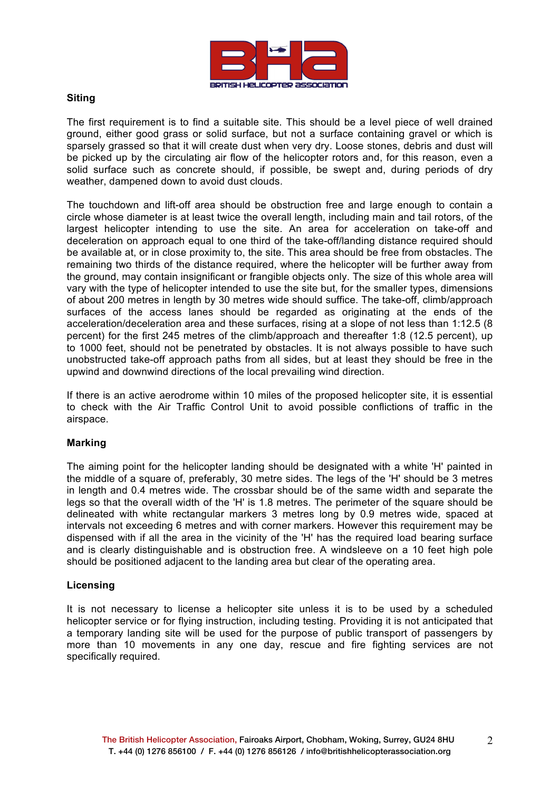

#### **Siting**

The first requirement is to find a suitable site. This should be a level piece of well drained ground, either good grass or solid surface, but not a surface containing gravel or which is sparsely grassed so that it will create dust when very dry. Loose stones, debris and dust will be picked up by the circulating air flow of the helicopter rotors and, for this reason, even a solid surface such as concrete should, if possible, be swept and, during periods of dry weather, dampened down to avoid dust clouds.

The touchdown and lift-off area should be obstruction free and large enough to contain a circle whose diameter is at least twice the overall length, including main and tail rotors, of the largest helicopter intending to use the site. An area for acceleration on take-off and deceleration on approach equal to one third of the take-off/landing distance required should be available at, or in close proximity to, the site. This area should be free from obstacles. The remaining two thirds of the distance required, where the helicopter will be further away from the ground, may contain insignificant or frangible objects only. The size of this whole area will vary with the type of helicopter intended to use the site but, for the smaller types, dimensions of about 200 metres in length by 30 metres wide should suffice. The take-off, climb/approach surfaces of the access lanes should be regarded as originating at the ends of the acceleration/deceleration area and these surfaces, rising at a slope of not less than 1:12.5 (8 percent) for the first 245 metres of the climb/approach and thereafter 1:8 (12.5 percent), up to 1000 feet, should not be penetrated by obstacles. It is not always possible to have such unobstructed take-off approach paths from all sides, but at least they should be free in the upwind and downwind directions of the local prevailing wind direction.

If there is an active aerodrome within 10 miles of the proposed helicopter site, it is essential to check with the Air Traffic Control Unit to avoid possible conflictions of traffic in the airspace.

#### **Marking**

The aiming point for the helicopter landing should be designated with a white 'H' painted in the middle of a square of, preferably, 30 metre sides. The legs of the 'H' should be 3 metres in length and 0.4 metres wide. The crossbar should be of the same width and separate the legs so that the overall width of the 'H' is 1.8 metres. The perimeter of the square should be delineated with white rectangular markers 3 metres long by 0.9 metres wide, spaced at intervals not exceeding 6 metres and with corner markers. However this requirement may be dispensed with if all the area in the vicinity of the 'H' has the required load bearing surface and is clearly distinguishable and is obstruction free. A windsleeve on a 10 feet high pole should be positioned adjacent to the landing area but clear of the operating area.

#### **Licensing**

It is not necessary to license a helicopter site unless it is to be used by a scheduled helicopter service or for flying instruction, including testing. Providing it is not anticipated that a temporary landing site will be used for the purpose of public transport of passengers by more than 10 movements in any one day, rescue and fire fighting services are not specifically required.